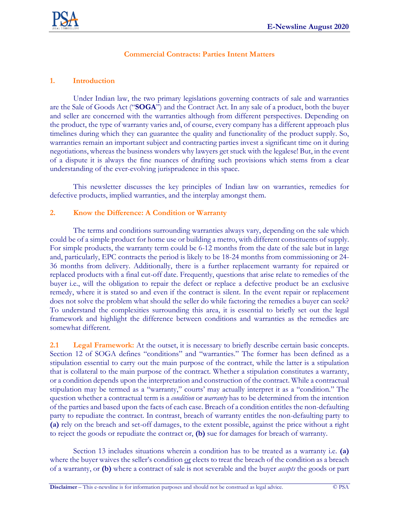## **Commercial Contracts: Parties Intent Matters**

## **1. Introduction**

Under Indian law, the two primary legislations governing contracts of sale and warranties are the Sale of Goods Act ("**SOGA**") and the Contract Act. In any sale of a product, both the buyer and seller are concerned with the warranties although from different perspectives. Depending on the product, the type of warranty varies and, of course, every company has a different approach plus timelines during which they can guarantee the quality and functionality of the product supply. So, warranties remain an important subject and contracting parties invest a significant time on it during negotiations, whereas the business wonders why lawyers get stuck with the legalese! But, in the event of a dispute it is always the fine nuances of drafting such provisions which stems from a clear understanding of the ever-evolving jurisprudence in this space.

This newsletter discusses the key principles of Indian law on warranties, remedies for defective products, implied warranties, and the interplay amongst them.

## **2. Know the Difference: A Condition or Warranty**

The terms and conditions surrounding warranties always vary, depending on the sale which could be of a simple product for home use or building a metro, with different constituents of supply. For simple products, the warranty term could be 6-12 months from the date of the sale but in large and, particularly, EPC contracts the period is likely to be 18-24 months from commissioning or 24- 36 months from delivery. Additionally, there is a further replacement warranty for repaired or replaced products with a final cut-off date. Frequently, questions that arise relate to remedies of the buyer i.e., will the obligation to repair the defect or replace a defective product be an exclusive remedy, where it is stated so and even if the contract is silent. In the event repair or replacement does not solve the problem what should the seller do while factoring the remedies a buyer can seek? To understand the complexities surrounding this area, it is essential to briefly set out the legal framework and highlight the difference between conditions and warranties as the remedies are somewhat different.

**2.1 Legal Framework:** At the outset, it is necessary to briefly describe certain basic concepts. Section 12 of SOGA defines "conditions" and "warranties." The former has been defined as a stipulation essential to carry out the main purpose of the contract, while the latter is a stipulation that is collateral to the main purpose of the contract. Whether a stipulation constitutes a warranty, or a condition depends upon the interpretation and construction of the contract. While a contractual stipulation may be termed as a "warranty," courts' may actually interpret it as a "condition." The question whether a contractual term is a *condition* or *warranty* has to be determined from the intention of the parties and based upon the facts of each case. Breach of a condition entitles the non-defaulting party to repudiate the contract. In contrast, breach of warranty entitles the non-defaulting party to **(a)** rely on the breach and set-off damages, to the extent possible, against the price without a right to reject the goods or repudiate the contract or, **(b)** sue for damages for breach of warranty.

Section 13 includes situations wherein a condition has to be treated as a warranty i.e. **(a)**  where the buyer waives the seller's condition  $or$  elects to treat the breach of the condition as a breach</u> of a warranty, or **(b)** where a contract of sale is not severable and the buyer *accepts* the goods or part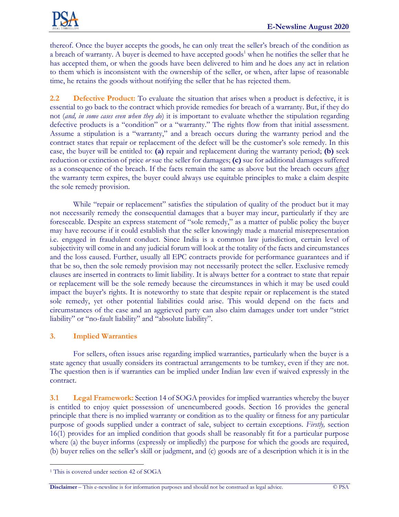

thereof. Once the buyer accepts the goods, he can only treat the seller's breach of the condition as a breach of warranty. A buyer is deemed to have accepted goods<sup>1</sup> when he notifies the seller that he has accepted them, or when the goods have been delivered to him and he does any act in relation to them which is inconsistent with the ownership of the seller, or when, after lapse of reasonable time, he retains the goods without notifying the seller that he has rejected them.

**2.2 Defective Product:** To evaluate the situation that arises when a product is defective, it is essential to go back to the contract which provide remedies for breach of a warranty. But, if they do not (*and, in some cases even when they do*) it is important to evaluate whether the stipulation regarding defective products is a "condition" or a "warranty." The rights flow from that initial assessment. Assume a stipulation is a "warranty," and a breach occurs during the warranty period and the contract states that repair or replacement of the defect will be the customer's sole remedy. In this case, the buyer will be entitled to: **(a)** repair and replacement during the warranty period; **(b)** seek reduction or extinction of price *or* sue the seller for damages; **(c)** sue for additional damages suffered as a consequence of the breach. If the facts remain the same as above but the breach occurs after the warranty term expires, the buyer could always use equitable principles to make a claim despite the sole remedy provision.

While "repair or replacement" satisfies the stipulation of quality of the product but it may not necessarily remedy the consequential damages that a buyer may incur, particularly if they are foreseeable. Despite an express statement of "sole remedy," as a matter of public policy the buyer may have recourse if it could establish that the seller knowingly made a material misrepresentation i.e. engaged in fraudulent conduct. Since India is a common law jurisdiction, certain level of subjectivity will come in and any judicial forum will look at the totality of the facts and circumstances and the loss caused. Further, usually all EPC contracts provide for performance guarantees and if that be so, then the sole remedy provision may not necessarily protect the seller. Exclusive remedy clauses are inserted in contracts to limit liability. It is always better for a contract to state that repair or replacement will be the sole remedy because the circumstances in which it may be used could impact the buyer's rights. It is noteworthy to state that despite repair or replacement is the stated sole remedy, yet other potential liabilities could arise. This would depend on the facts and circumstances of the case and an aggrieved party can also claim damages under tort under "strict liability" or "no-fault liability" and "absolute liability".

# **3. Implied Warranties**

For sellers, often issues arise regarding implied warranties, particularly when the buyer is a state agency that usually considers its contractual arrangements to be turnkey, even if they are not. The question then is if warranties can be implied under Indian law even if waived expressly in the contract.

**3.1 Legal Framework:** Section 14 of SOGA provides for implied warranties whereby the buyer is entitled to enjoy quiet possession of unencumbered goods. Section 16 provides the general principle that there is no implied warranty or condition as to the quality or fitness for any particular purpose of goods supplied under a contract of sale, subject to certain exceptions. *Firstly,* section 16(1) provides for an implied condition that goods shall be reasonably fit for a particular purpose where (a) the buyer informs (expressly or impliedly) the purpose for which the goods are required, (b) buyer relies on the seller's skill or judgment, and (c) goods are of a description which it is in the

**Disclaimer** – This e-newsline is for information purposes and should not be construed as legal advice. © PSA

<sup>&</sup>lt;sup>1</sup> This is covered under section 42 of SOGA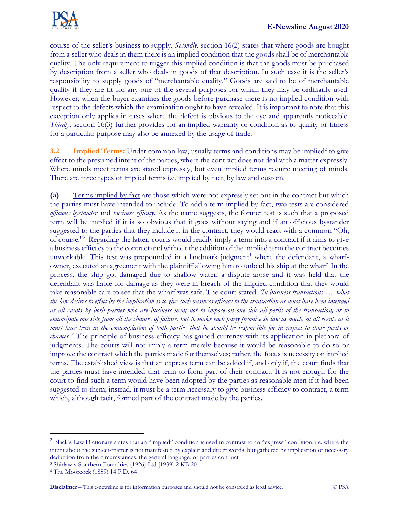

course of the seller's business to supply. *Secondly,* section 16(2) states that where goods are bought from a seller who deals in them there is an implied condition that the goods shall be of merchantable quality. The only requirement to trigger this implied condition is that the goods must be purchased by description from a seller who deals in goods of that description. In such case it is the seller's responsibility to supply goods of "merchantable quality." Goods are said to be of merchantable quality if they are fit for any one of the several purposes for which they may be ordinarily used. However, when the buyer examines the goods before purchase there is no implied condition with respect to the defects which the examination ought to have revealed. It is important to note that this exception only applies in cases where the defect is obvious to the eye and apparently noticeable. *Thirdly,* section 16(3) further provides for an implied warranty or condition as to quality or fitness for a particular purpose may also be annexed by the usage of trade.

**3.2** Implied Terms: Under common law, usually terms and conditions may be implied<sup>2</sup> to give effect to the presumed intent of the parties, where the contract does not deal with a matter expressly. Where minds meet terms are stated expressly, but even implied terms require meeting of minds. There are three types of implied terms i.e. implied by fact, by law and custom.

**(a)** Terms implied by fact are those which were not expressly set out in the contract but which the parties must have intended to include. To add a term implied by fact, two tests are considered *officious bystander* and *business efficacy.* As the name suggests, the former test is such that a proposed term will be implied if it is so obvious that it goes without saying and if an officious bystander suggested to the parties that they include it in the contract, they would react with a common "Oh, of course.<sup>"3</sup> Regarding the latter, courts would readily imply a term into a contract if it aims to give a business efficacy to the contract and without the addition of the implied term the contract becomes unworkable. This test was propounded in a landmark judgment<sup>4</sup> where the defendant, a wharfowner, executed an agreement with the plaintiff allowing him to unload his ship at the wharf. In the process, the ship got damaged due to shallow water, a dispute arose and it was held that the defendant was liable for damage as they were in breach of the implied condition that they would take reasonable care to see that the wharf was safe. The court stated *"In business transactions…. what the law desires to effect by the implication is to give such business efficacy to the transaction as must have been intended at all events by both parties who are business men; not to impose on one side all perils of the transaction, or to emancipate one side from all the chances of failure, but to make each party promise in law as much, at all events as it must have been in the contemplation of both parties that he should be responsible for in respect to those perils or chances."* The principle of business efficacy has gained currency with its application in plethora of judgments. The courts will not imply a term merely because it would be reasonable to do so or improve the contract which the parties made for themselves; rather, the focus is necessity on implied terms. The established view is that an express term can be added if, and only if, the court finds that the parties must have intended that term to form part of their contract. It is not enough for the court to find such a term would have been adopted by the parties as reasonable men if it had been suggested to them; instead, it must be a term necessary to give business efficacy to contract, a term which, although tacit, formed part of the contract made by the parties.

<sup>&</sup>lt;sup>2</sup> Black's Law Dictionary states that an "implied" condition is used in contrast to an "express" condition, i.e. where the intent about the subject-matter is not manifested by explicit and direct words, but gathered by implication or necessary deduction from the circumstances, the general language, or parties conduct

<sup>3</sup> Shirlaw v Southern Foundries (1926) Ltd [1939] 2 KB 20

<sup>4</sup> The Moorcock (1889) 14 P.D. 64

**Disclaimer** – This e-newsline is for information purposes and should not be construed as legal advice. © PSA